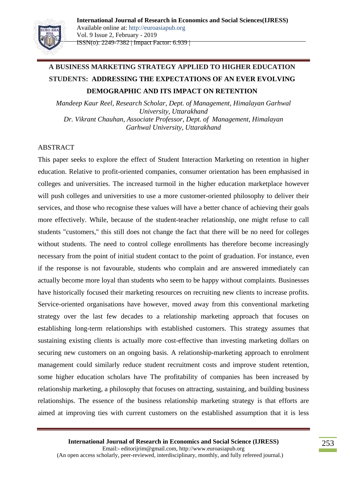

# **A BUSINESS MARKETING STRATEGY APPLIED TO HIGHER EDUCATION STUDENTS: ADDRESSING THE EXPECTATIONS OF AN EVER EVOLVING DEMOGRAPHIC AND ITS IMPACT ON RETENTION**

*Mandeep Kaur Reel, Research Scholar, Dept. of Management, Himalayan Garhwal University, Uttarakhand Dr. Vikrant Chauhan, Associate Professor, Dept. of Management, Himalayan Garhwal University, Uttarakhand*

# ABSTRACT

This paper seeks to explore the effect of Student Interaction Marketing on retention in higher education. Relative to profit-oriented companies, consumer orientation has been emphasised in colleges and universities. The increased turmoil in the higher education marketplace however will push colleges and universities to use a more customer-oriented philosophy to deliver their services, and those who recognise these values will have a better chance of achieving their goals more effectively. While, because of the student-teacher relationship, one might refuse to call students "customers," this still does not change the fact that there will be no need for colleges without students. The need to control college enrollments has therefore become increasingly necessary from the point of initial student contact to the point of graduation. For instance, even if the response is not favourable, students who complain and are answered immediately can actually become more loyal than students who seem to be happy without complaints. Businesses have historically focused their marketing resources on recruiting new clients to increase profits. Service-oriented organisations have however, moved away from this conventional marketing strategy over the last few decades to a relationship marketing approach that focuses on establishing long-term relationships with established customers. This strategy assumes that sustaining existing clients is actually more cost-effective than investing marketing dollars on securing new customers on an ongoing basis. A relationship-marketing approach to enrolment management could similarly reduce student recruitment costs and improve student retention, some higher education scholars have The profitability of companies has been increased by relationship marketing, a philosophy that focuses on attracting, sustaining, and building business relationships. The essence of the business relationship marketing strategy is that efforts are aimed at improving ties with current customers on the established assumption that it is less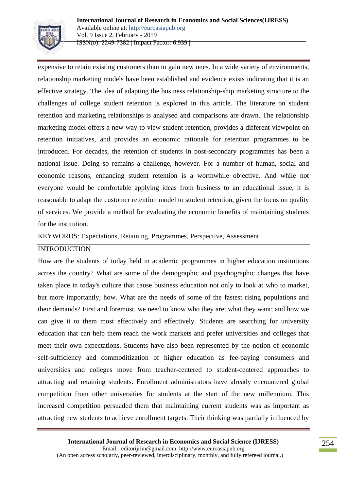

expensive to retain existing customers than to gain new ones. In a wide variety of environments, relationship marketing models have been established and evidence exists indicating that it is an effective strategy. The idea of adapting the business relationship-ship marketing structure to the challenges of college student retention is explored in this article. The literature on student retention and marketing relationships is analysed and comparisons are drawn. The relationship marketing model offers a new way to view student retention, provides a different viewpoint on retention initiatives, and provides an economic rationale for retention programmes to be introduced. For decades, the retention of students in post-secondary programmes has been a national issue. Doing so remains a challenge, however. For a number of human, social and economic reasons, enhancing student retention is a worthwhile objective. And while not everyone would be comfortable applying ideas from business to an educational issue, it is reasonable to adapt the customer retention model to student retention, given the focus on quality of services. We provide a method for evaluating the economic benefits of maintaining students for the institution.

KEYWORDS: Expectations, Retaining, Programmes, Perspective, Assessment

#### INTRODUCTION

How are the students of today held in academic programmes in higher education institutions across the country? What are some of the demographic and psychographic changes that have taken place in today's culture that cause business education not only to look at who to market, but more importantly, how. What are the needs of some of the fastest rising populations and their demands? First and foremost, we need to know who they are; what they want; and how we can give it to them most effectively and effectively. Students are searching for university education that can help them reach the work markets and prefer universities and colleges that meet their own expectations. Students have also been represented by the notion of economic self-sufficiency and commoditization of higher education as fee-paying consumers and universities and colleges move from teacher-centered to student-centered approaches to attracting and retaining students. Enrollment administrators have already encountered global competition from other universities for students at the start of the new millennium. This increased competition persuaded them that maintaining current students was as important as attracting new students to achieve enrollment targets. Their thinking was partially influenced by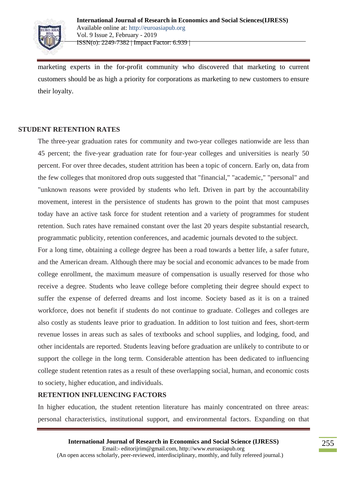

marketing experts in the for-profit community who discovered that marketing to current customers should be as high a priority for corporations as marketing to new customers to ensure their loyalty.

# **STUDENT RETENTION RATES**

The three-year graduation rates for community and two-year colleges nationwide are less than 45 percent; the five-year graduation rate for four-year colleges and universities is nearly 50 percent. For over three decades, student attrition has been a topic of concern. Early on, data from the few colleges that monitored drop outs suggested that "financial," "academic," "personal" and "unknown reasons were provided by students who left. Driven in part by the accountability movement, interest in the persistence of students has grown to the point that most campuses today have an active task force for student retention and a variety of programmes for student retention. Such rates have remained constant over the last 20 years despite substantial research, programmatic publicity, retention conferences, and academic journals devoted to the subject.

For a long time, obtaining a college degree has been a road towards a better life, a safer future, and the American dream. Although there may be social and economic advances to be made from college enrollment, the maximum measure of compensation is usually reserved for those who receive a degree. Students who leave college before completing their degree should expect to suffer the expense of deferred dreams and lost income. Society based as it is on a trained workforce, does not benefit if students do not continue to graduate. Colleges and colleges are also costly as students leave prior to graduation. In addition to lost tuition and fees, short-term revenue losses in areas such as sales of textbooks and school supplies, and lodging, food, and other incidentals are reported. Students leaving before graduation are unlikely to contribute to or support the college in the long term. Considerable attention has been dedicated to influencing college student retention rates as a result of these overlapping social, human, and economic costs to society, higher education, and individuals.

#### **RETENTION INFLUENCING FACTORS**

In higher education, the student retention literature has mainly concentrated on three areas: personal characteristics, institutional support, and environmental factors. Expanding on that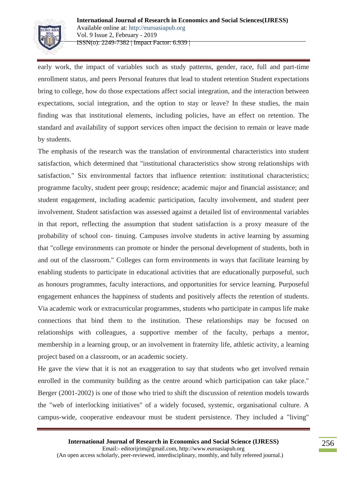

early work, the impact of variables such as study patterns, gender, race, full and part-time enrollment status, and peers Personal features that lead to student retention Student expectations bring to college, how do those expectations affect social integration, and the interaction between expectations, social integration, and the option to stay or leave? In these studies, the main finding was that institutional elements, including policies, have an effect on retention. The standard and availability of support services often impact the decision to remain or leave made by students.

The emphasis of the research was the translation of environmental characteristics into student satisfaction, which determined that "institutional characteristics show strong relationships with satisfaction." Six environmental factors that influence retention: institutional characteristics; programme faculty, student peer group; residence; academic major and financial assistance; and student engagement, including academic participation, faculty involvement, and student peer involvement. Student satisfaction was assessed against a detailed list of environmental variables in that report, reflecting the assumption that student satisfaction is a proxy measure of the probability of school con- tinuing. Campuses involve students in active learning by assuming that "college environments can promote or hinder the personal development of students, both in and out of the classroom." Colleges can form environments in ways that facilitate learning by enabling students to participate in educational activities that are educationally purposeful, such as honours programmes, faculty interactions, and opportunities for service learning. Purposeful engagement enhances the happiness of students and positively affects the retention of students. Via academic work or extracurricular programmes, students who participate in campus life make connections that bind them to the institution. These relationships may be focused on relationships with colleagues, a supportive member of the faculty, perhaps a mentor, membership in a learning group, or an involvement in fraternity life, athletic activity, a learning project based on a classroom, or an academic society.

He gave the view that it is not an exaggeration to say that students who get involved remain enrolled in the community building as the centre around which participation can take place." Berger (2001-2002) is one of those who tried to shift the discussion of retention models towards the "web of interlocking initiatives" of a widely focused, systemic, organisational culture. A campus-wide, cooperative endeavour must be student persistence. They included a "living"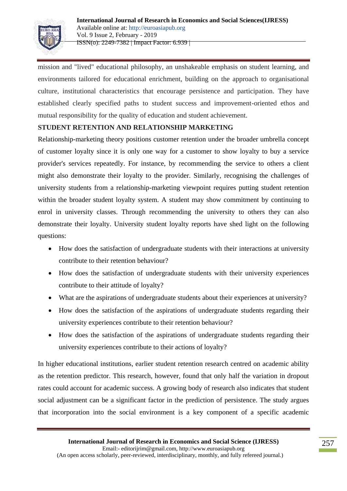

mission and "lived" educational philosophy, an unshakeable emphasis on student learning, and environments tailored for educational enrichment, building on the approach to organisational culture, institutional characteristics that encourage persistence and participation. They have established clearly specified paths to student success and improvement-oriented ethos and mutual responsibility for the quality of education and student achievement.

# **STUDENT RETENTION AND RELATIONSHIP MARKETING**

Relationship-marketing theory positions customer retention under the broader umbrella concept of customer loyalty since it is only one way for a customer to show loyalty to buy a service provider's services repeatedly. For instance, by recommending the service to others a client might also demonstrate their loyalty to the provider. Similarly, recognising the challenges of university students from a relationship-marketing viewpoint requires putting student retention within the broader student loyalty system. A student may show commitment by continuing to enrol in university classes. Through recommending the university to others they can also demonstrate their loyalty. University student loyalty reports have shed light on the following questions:

- How does the satisfaction of undergraduate students with their interactions at university contribute to their retention behaviour?
- How does the satisfaction of undergraduate students with their university experiences contribute to their attitude of loyalty?
- What are the aspirations of undergraduate students about their experiences at university?
- How does the satisfaction of the aspirations of undergraduate students regarding their university experiences contribute to their retention behaviour?
- How does the satisfaction of the aspirations of undergraduate students regarding their university experiences contribute to their actions of loyalty?

In higher educational institutions, earlier student retention research centred on academic ability as the retention predictor. This research, however, found that only half the variation in dropout rates could account for academic success. A growing body of research also indicates that student social adjustment can be a significant factor in the prediction of persistence. The study argues that incorporation into the social environment is a key component of a specific academic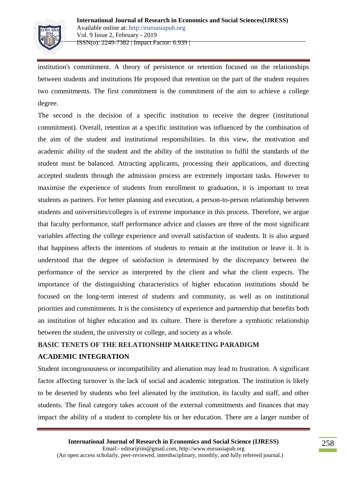

institution's commitment. A theory of persistence or retention focused on the relationships between students and institutions He proposed that retention on the part of the student requires two commitments. The first commitment is the commitment of the aim to achieve a college degree.

The second is the decision of a specific institution to receive the degree (institutional commitment). Overall, retention at a specific institution was influenced by the combination of the aim of the student and institutional responsibilities. In this view, the motivation and academic ability of the student and the ability of the institution to fulfil the standards of the student must be balanced. Attracting applicants, processing their applications, and directing accepted students through the admission process are extremely important tasks. However to maximise the experience of students from enrollment to graduation, it is important to treat students as partners. For better planning and execution, a person-to-person relationship between students and universities/colleges is of extreme importance in this process. Therefore, we argue that faculty performance, staff performance advice and classes are three of the most significant variables affecting the college experience and overall satisfaction of students. It is also argued that happiness affects the intentions of students to remain at the institution or leave it. It is understood that the degree of satisfaction is determined by the discrepancy between the performance of the service as interpreted by the client and what the client expects. The importance of the distinguishing characteristics of higher education institutions should be focused on the long-term interest of students and community, as well as on institutional priorities and commitments. It is the consistency of experience and partnership that benefits both an institution of higher education and its culture. There is therefore a symbiotic relationship between the student, the university or college, and society as a whole.

# **BASIC TENETS OF THE RELATIONSHIP MARKETING PARADIGM ACADEMIC INTEGRATION**

Student incongruousness or incompatibility and alienation may lead to frustration. A significant factor affecting turnover is the lack of social and academic integration. The institution is likely to be deserted by students who feel alienated by the institution, its faculty and staff, and other students. The final category takes account of the external commitments and finances that may impact the ability of a student to complete his or her education. There are a larger number of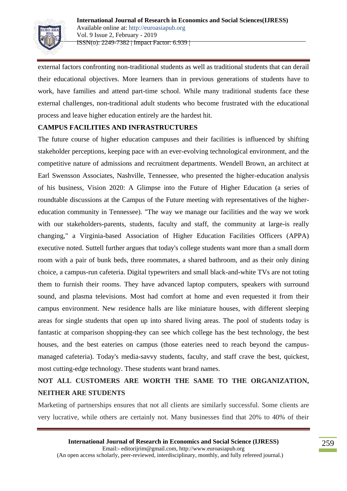

external factors confronting non-traditional students as well as traditional students that can derail their educational objectives. More learners than in previous generations of students have to work, have families and attend part-time school. While many traditional students face these external challenges, non-traditional adult students who become frustrated with the educational process and leave higher education entirely are the hardest hit.

# **CAMPUS FACILITIES AND INFRASTRUCTURES**

The future course of higher education campuses and their facilities is influenced by shifting stakeholder perceptions, keeping pace with an ever-evolving technological environment, and the competitive nature of admissions and recruitment departments. Wendell Brown, an architect at Earl Swensson Associates, Nashville, Tennessee, who presented the higher-education analysis of his business, Vision 2020: A Glimpse into the Future of Higher Education (a series of roundtable discussions at the Campus of the Future meeting with representatives of the highereducation community in Tennessee). "The way we manage our facilities and the way we work with our stakeholders-parents, students, faculty and staff, the community at large-is really changing," a Virginia-based Association of Higher Education Facilities Officers (APPA) executive noted. Suttell further argues that today's college students want more than a small dorm room with a pair of bunk beds, three roommates, a shared bathroom, and as their only dining choice, a campus-run cafeteria. Digital typewriters and small black-and-white TVs are not toting them to furnish their rooms. They have advanced laptop computers, speakers with surround sound, and plasma televisions. Most had comfort at home and even requested it from their campus environment. New residence halls are like miniature houses, with different sleeping areas for single students that open up into shared living areas. The pool of students today is fantastic at comparison shopping-they can see which college has the best technology, the best houses, and the best eateries on campus (those eateries need to reach beyond the campusmanaged cafeteria). Today's media-savvy students, faculty, and staff crave the best, quickest, most cutting-edge technology. These students want brand names.

# **NOT ALL CUSTOMERS ARE WORTH THE SAME TO THE ORGANIZATION, NEITHER ARE STUDENTS**

Marketing of partnerships ensures that not all clients are similarly successful. Some clients are very lucrative, while others are certainly not. Many businesses find that 20% to 40% of their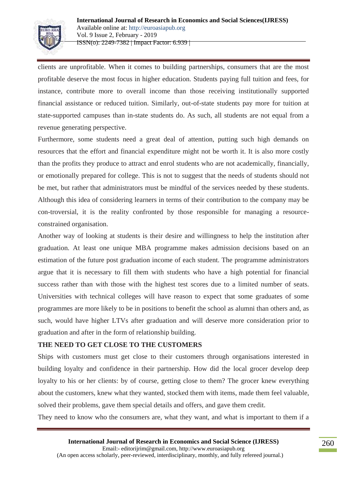

clients are unprofitable. When it comes to building partnerships, consumers that are the most profitable deserve the most focus in higher education. Students paying full tuition and fees, for instance, contribute more to overall income than those receiving institutionally supported financial assistance or reduced tuition. Similarly, out-of-state students pay more for tuition at state-supported campuses than in-state students do. As such, all students are not equal from a revenue generating perspective.

Furthermore, some students need a great deal of attention, putting such high demands on resources that the effort and financial expenditure might not be worth it. It is also more costly than the profits they produce to attract and enrol students who are not academically, financially, or emotionally prepared for college. This is not to suggest that the needs of students should not be met, but rather that administrators must be mindful of the services needed by these students. Although this idea of considering learners in terms of their contribution to the company may be con-troversial, it is the reality confronted by those responsible for managing a resourceconstrained organisation.

Another way of looking at students is their desire and willingness to help the institution after graduation. At least one unique MBA programme makes admission decisions based on an estimation of the future post graduation income of each student. The programme administrators argue that it is necessary to fill them with students who have a high potential for financial success rather than with those with the highest test scores due to a limited number of seats. Universities with technical colleges will have reason to expect that some graduates of some programmes are more likely to be in positions to benefit the school as alumni than others and, as such, would have higher LTVs after graduation and will deserve more consideration prior to graduation and after in the form of relationship building.

#### **THE NEED TO GET CLOSE TO THE CUSTOMERS**

Ships with customers must get close to their customers through organisations interested in building loyalty and confidence in their partnership. How did the local grocer develop deep loyalty to his or her clients: by of course, getting close to them? The grocer knew everything about the customers, knew what they wanted, stocked them with items, made them feel valuable, solved their problems, gave them special details and offers, and gave them credit.

They need to know who the consumers are, what they want, and what is important to them if a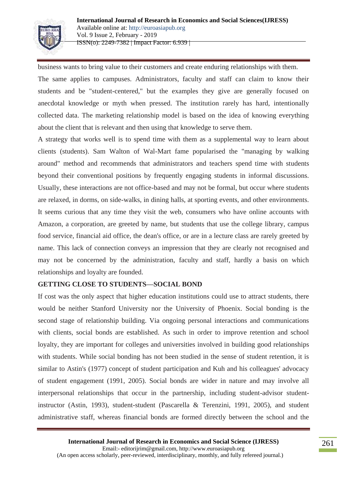

business wants to bring value to their customers and create enduring relationships with them. The same applies to campuses. Administrators, faculty and staff can claim to know their students and be "student-centered," but the examples they give are generally focused on anecdotal knowledge or myth when pressed. The institution rarely has hard, intentionally collected data. The marketing relationship model is based on the idea of knowing everything about the client that is relevant and then using that knowledge to serve them.

A strategy that works well is to spend time with them as a supplemental way to learn about clients (students). Sam Walton of Wal-Mart fame popularised the "managing by walking around" method and recommends that administrators and teachers spend time with students beyond their conventional positions by frequently engaging students in informal discussions. Usually, these interactions are not office-based and may not be formal, but occur where students are relaxed, in dorms, on side-walks, in dining halls, at sporting events, and other environments. It seems curious that any time they visit the web, consumers who have online accounts with Amazon, a corporation, are greeted by name, but students that use the college library, campus food service, financial aid office, the dean's office, or are in a lecture class are rarely greeted by name. This lack of connection conveys an impression that they are clearly not recognised and may not be concerned by the administration, faculty and staff, hardly a basis on which relationships and loyalty are founded.

# **GETTING CLOSE TO STUDENTS—SOCIAL BOND**

If cost was the only aspect that higher education institutions could use to attract students, there would be neither Stanford University nor the University of Phoenix. Social bonding is the second stage of relationship building. Via ongoing personal interactions and communications with clients, social bonds are established. As such in order to improve retention and school loyalty, they are important for colleges and universities involved in building good relationships with students. While social bonding has not been studied in the sense of student retention, it is similar to Astin's (1977) concept of student participation and Kuh and his colleagues' advocacy of student engagement (1991, 2005). Social bonds are wider in nature and may involve all interpersonal relationships that occur in the partnership, including student-advisor studentinstructor (Astin, 1993), student-student (Pascarella & Terenzini, 1991, 2005), and student administrative staff, whereas financial bonds are formed directly between the school and the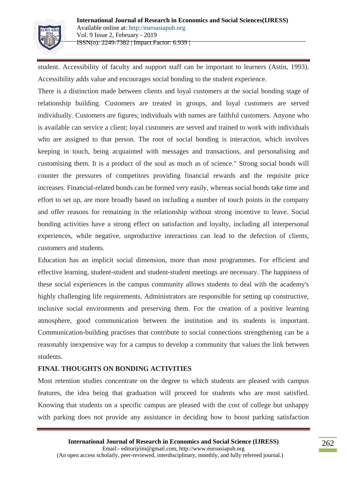

student. Accessibility of faculty and support staff can be important to learners (Astin, 1993). Accessibility adds value and encourages social bonding to the student experience.

There is a distinction made between clients and loyal customers at the social bonding stage of relationship building. Customers are treated in groups, and loyal customers are served individually. Customers are figures; individuals with names are faithful customers. Anyone who is available can service a client; loyal customers are served and trained to work with individuals who are assigned to that person. The root of social bonding is interaction, which involves keeping in touch, being acquainted with messages and transactions, and personalising and customising them. It is a product of the soul as much as of science." Strong social bonds will counter the pressures of competitors providing financial rewards and the requisite price increases. Financial-related bonds can be formed very easily, whereas social bonds take time and effort to set up, are more broadly based on including a number of touch points in the company and offer reasons for remaining in the relationship without strong incentive to leave. Social bonding activities have a strong effect on satisfaction and loyalty, including all interpersonal experiences, while negative, unproductive interactions can lead to the defection of clients, customers and students.

Education has an implicit social dimension, more than most programmes. For efficient and effective learning, student-student and student-student meetings are necessary. The happiness of these social experiences in the campus community allows students to deal with the academy's highly challenging life requirements. Administrators are responsible for setting up constructive, inclusive social environments and preserving them. For the creation of a positive learning atmosphere, good communication between the institution and its students is important. Communication-building practises that contribute to social connections strengthening can be a reasonably inexpensive way for a campus to develop a community that values the link between students.

#### **FINAL THOUGHTS ON BONDING ACTIVITIES**

Most retention studies concentrate on the degree to which students are pleased with campus features, the idea being that graduation will proceed for students who are most satisfied. Knowing that students on a specific campus are pleased with the cost of college but unhappy with parking does not provide any assistance in deciding how to boost parking satisfaction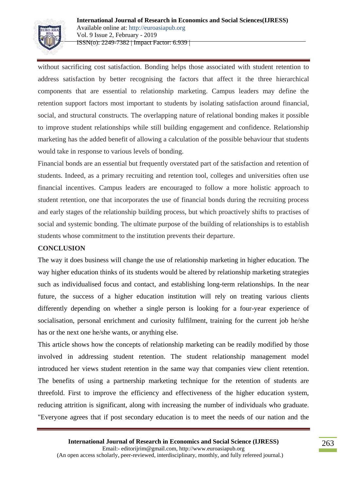

without sacrificing cost satisfaction. Bonding helps those associated with student retention to address satisfaction by better recognising the factors that affect it the three hierarchical components that are essential to relationship marketing. Campus leaders may define the retention support factors most important to students by isolating satisfaction around financial, social, and structural constructs. The overlapping nature of relational bonding makes it possible to improve student relationships while still building engagement and confidence. Relationship marketing has the added benefit of allowing a calculation of the possible behaviour that students would take in response to various levels of bonding.

Financial bonds are an essential but frequently overstated part of the satisfaction and retention of students. Indeed, as a primary recruiting and retention tool, colleges and universities often use financial incentives. Campus leaders are encouraged to follow a more holistic approach to student retention, one that incorporates the use of financial bonds during the recruiting process and early stages of the relationship building process, but which proactively shifts to practises of social and systemic bonding. The ultimate purpose of the building of relationships is to establish students whose commitment to the institution prevents their departure.

#### **CONCLUSION**

The way it does business will change the use of relationship marketing in higher education. The way higher education thinks of its students would be altered by relationship marketing strategies such as individualised focus and contact, and establishing long-term relationships. In the near future, the success of a higher education institution will rely on treating various clients differently depending on whether a single person is looking for a four-year experience of socialisation, personal enrichment and curiosity fulfilment, training for the current job he/she has or the next one he/she wants, or anything else.

This article shows how the concepts of relationship marketing can be readily modified by those involved in addressing student retention. The student relationship management model introduced her views student retention in the same way that companies view client retention. The benefits of using a partnership marketing technique for the retention of students are threefold. First to improve the efficiency and effectiveness of the higher education system, reducing attrition is significant, along with increasing the number of individuals who graduate. "Everyone agrees that if post secondary education is to meet the needs of our nation and the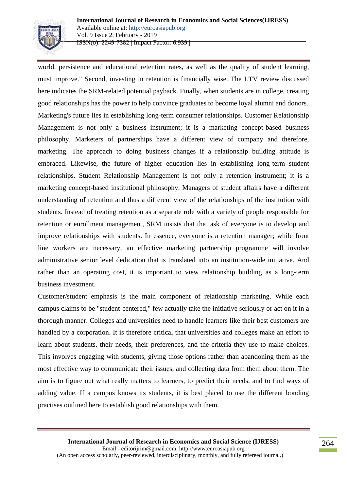

world, persistence and educational retention rates, as well as the quality of student learning, must improve." Second, investing in retention is financially wise. The LTV review discussed here indicates the SRM-related potential payback. Finally, when students are in college, creating good relationships has the power to help convince graduates to become loyal alumni and donors. Marketing's future lies in establishing long-term consumer relationships. Customer Relationship Management is not only a business instrument; it is a marketing concept-based business philosophy. Marketers of partnerships have a different view of company and therefore, marketing. The approach to doing business changes if a relationship building attitude is embraced. Likewise, the future of higher education lies in establishing long-term student relationships. Student Relationship Management is not only a retention instrument; it is a marketing concept-based institutional philosophy. Managers of student affairs have a different understanding of retention and thus a different view of the relationships of the institution with students. Instead of treating retention as a separate role with a variety of people responsible for retention or enrollment management, SRM insists that the task of everyone is to develop and improve relationships with students. In essence, everyone is a retention manager; while front line workers are necessary, an effective marketing partnership programme will involve administrative senior level dedication that is translated into an institution-wide initiative. And rather than an operating cost, it is important to view relationship building as a long-term business investment.

Customer/student emphasis is the main component of relationship marketing. While each campus claims to be "student-centered," few actually take the initiative seriously or act on it in a thorough manner. Colleges and universities need to handle learners like their best customers are handled by a corporation. It is therefore critical that universities and colleges make an effort to learn about students, their needs, their preferences, and the criteria they use to make choices. This involves engaging with students, giving those options rather than abandoning them as the most effective way to communicate their issues, and collecting data from them about them. The aim is to figure out what really matters to learners, to predict their needs, and to find ways of adding value. If a campus knows its students, it is best placed to use the different bonding practises outlined here to establish good relationships with them.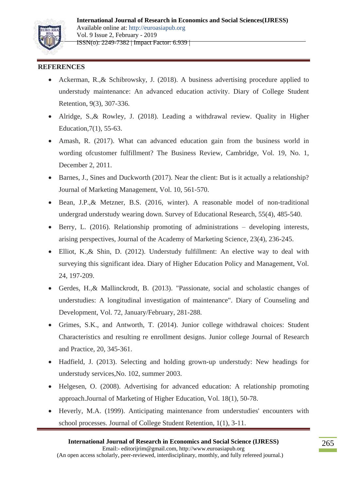

#### **REFERENCES**

- Ackerman, R.,& Schibrowsky, J. (2018). A business advertising procedure applied to understudy maintenance: An advanced education activity. Diary of College Student Retention, 9(3), 307-336.
- Alridge, S.,& Rowley, J. (2018). Leading a withdrawal review. Quality in Higher Education,7(1), 55-63.
- Amash, R. (2017). What can advanced education gain from the business world in wording ofcustomer fulfillment? The Business Review, Cambridge, Vol. 19, No. 1, December 2, 2011.
- Barnes, J., Sines and Duckworth (2017). Near the client: But is it actually a relationship? Journal of Marketing Management, Vol. 10, 561-570.
- Bean, J.P.,& Metzner, B.S. (2016, winter). A reasonable model of non-traditional undergrad understudy wearing down. Survey of Educational Research, 55(4), 485-540.
- Berry, L. (2016). Relationship promoting of administrations developing interests, arising perspectives, Journal of the Academy of Marketing Science, 23(4), 236-245.
- Elliot, K.,& Shin, D. (2012). Understudy fulfillment: An elective way to deal with surveying this significant idea. Diary of Higher Education Policy and Management, Vol. 24, 197-209.
- Gerdes, H.,& Mallinckrodt, B. (2013). "Passionate, social and scholastic changes of understudies: A longitudinal investigation of maintenance". Diary of Counseling and Development, Vol. 72, January/February, 281-288.
- Grimes, S.K., and Antworth, T. (2014). Junior college withdrawal choices: Student Characteristics and resulting re enrollment designs. Junior college Journal of Research and Practice, 20, 345-361.
- Hadfield, J. (2013). Selecting and holding grown-up understudy: New headings for understudy services,No. 102, summer 2003.
- Helgesen, O. (2008). Advertising for advanced education: A relationship promoting approach.Journal of Marketing of Higher Education, Vol. 18(1), 50-78.
- Heverly, M.A. (1999). Anticipating maintenance from understudies' encounters with school processes. Journal of College Student Retention, 1(1), 3-11.